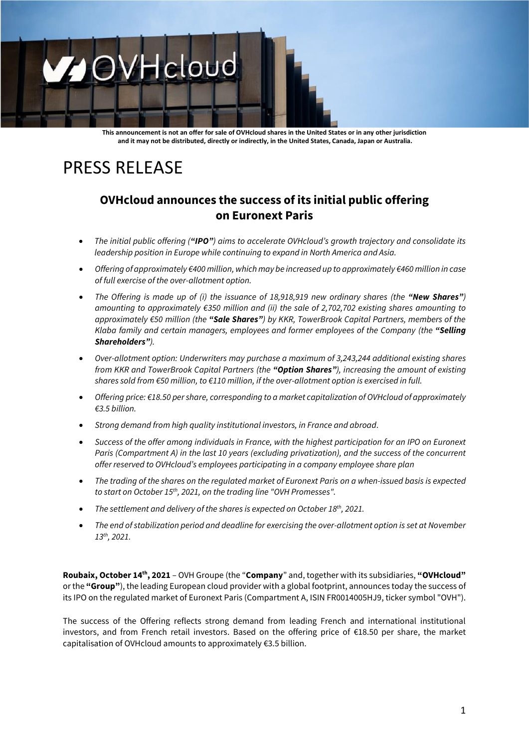# OVHcloud  $\mathcal{L}$

**This announcement is not an offer for sale of OVHcloud shares in the United States or in any other jurisdiction and it may not be distributed, directly or indirectly, in the United States, Canada, Japan or Australia.**

## PRESS RELEASE

### **OVHcloud announces the success of its initial public offering on Euronext Paris**

- *The initial public offering ("IPO") aims to accelerate OVHcloud's growth trajectory and consolidate its leadership position in Europe while continuing to expand in North America and Asia.*
- *Offering of approximately €400 million, which may be increased up to approximately €460million in case of full exercise of the over-allotment option.*
- *The Offering is made up of (i) the issuance of 18,918,919 new ordinary shares (the "New Shares") amounting to approximately €350 million and (ii) the sale of 2,702,702 existing shares amounting to approximately €50 million (the "Sale Shares") by KKR, TowerBrook Capital Partners, members of the Klaba family and certain managers, employees and former employees of the Company (the "Selling Shareholders").*
- *Over-allotment option: Underwriters may purchase a maximum of 3,243,244 additional existing shares from KKR and TowerBrook Capital Partners (the "Option Shares"), increasing the amount of existing shares sold from €50 million, to €110 million, if the over-allotment option is exercised in full.*
- *Offering price: €18.50 per share, corresponding to a market capitalization of OVHcloud of approximately €3.5 billion.*
- *Strong demand from high quality institutional investors, in France and abroad.*
- *Success of the offer among individuals in France, with the highest participation for an IPO on Euronext Paris (Compartment A) in the last 10 years (excluding privatization), and the success of the concurrent offer reserved to OVHcloud's employees participating in a company employee share plan*
- *The trading of the shares on the regulated market of Euronext Paris on a when-issued basis is expected to start on October 15 th , 2021, on the trading line "OVH Promesses".*
- The settlement and delivery of the shares is expected on October 18<sup>th</sup>, 2021.
- *The end of stabilization period and deadline for exercising the over-allotment option is set at November 13th, 2021.*

**Roubaix, October 14th , 2021** – OVH Groupe (the "**Company**" and, together with its subsidiaries, **"OVHcloud"** or the **"Group"**), the leading European cloud provider with a global footprint, announces today the success of its IPO on the regulated market of Euronext Paris (Compartment A, ISIN FR0014005HJ9, ticker symbol "OVH").

The success of the Offering reflects strong demand from leading French and international institutional investors, and from French retail investors. Based on the offering price of €18.50 per share, the market capitalisation of OVHcloud amounts to approximately €3.5 billion.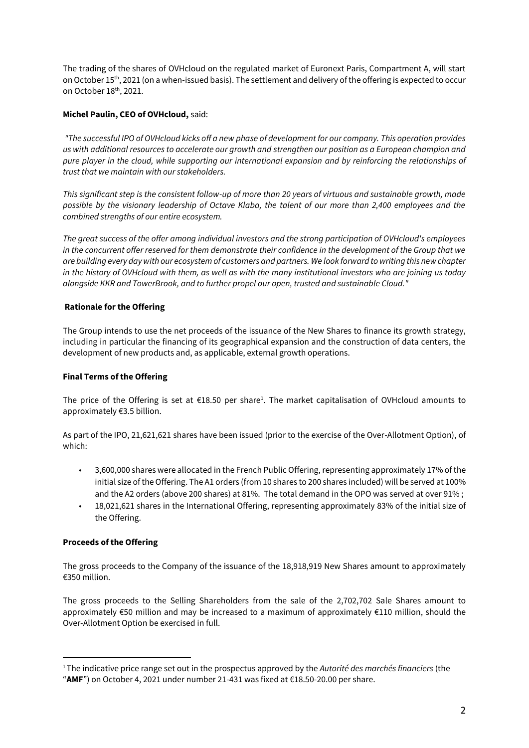The trading of the shares of OVHcloud on the regulated market of Euronext Paris, Compartment A, will start on October 15<sup>th</sup>, 2021 (on a when-issued basis). The settlement and delivery of the offering is expected to occur on October 18th, 2021.

#### **Michel Paulin, CEO of OVHcloud,** said:

*"The successful IPO of OVHcloud kicks off a new phase of development for our company. This operation provides us with additional resources to accelerate our growth and strengthen our position as a European champion and pure player in the cloud, while supporting our international expansion and by reinforcing the relationships of trust that we maintain with our stakeholders.* 

*This significant step is the consistent follow-up of more than 20 years of virtuous and sustainable growth, made possible by the visionary leadership of Octave Klaba, the talent of our more than 2,400 employees and the combined strengths of our entire ecosystem.* 

*The great success of the offer among individual investors and the strong participation of OVHcloud's employees in the concurrent offer reserved for them demonstrate their confidence in the development of the Group that we are building every day with our ecosystem of customers and partners. We look forward to writing this new chapter in the history of OVHcloud with them, as well as with the many institutional investors who are joining us today alongside KKR and TowerBrook, and to further propel our open, trusted and sustainable Cloud."*

#### **Rationale for the Offering**

The Group intends to use the net proceeds of the issuance of the New Shares to finance its growth strategy, including in particular the financing of its geographical expansion and the construction of data centers, the development of new products and, as applicable, external growth operations.

#### **Final Terms of the Offering**

The price of the Offering is set at  $\epsilon$ 18.50 per share<sup>1</sup>. The market capitalisation of OVHcloud amounts to approximately €3.5 billion.

As part of the IPO, 21,621,621 shares have been issued (prior to the exercise of the Over-Allotment Option), of which:

- 3,600,000 shares were allocated in the French Public Offering, representing approximately 17% of the initial size of the Offering. The A1 orders (from 10 shares to 200 shares included) will be served at 100% and the A2 orders (above 200 shares) at 81%. The total demand in the OPO was served at over 91% ;
- 18,021,621 shares in the International Offering, representing approximately 83% of the initial size of the Offering.

#### **Proceeds of the Offering**

The gross proceeds to the Company of the issuance of the 18,918,919 New Shares amount to approximately €350 million.

The gross proceeds to the Selling Shareholders from the sale of the 2,702,702 Sale Shares amount to approximately €50 million and may be increased to a maximum of approximately €110 million, should the Over-Allotment Option be exercised in full.

<sup>1</sup>The indicative price range set out in the prospectus approved by the *Autorité des marchés financiers* (the

<sup>&</sup>quot;**AMF**") on October 4, 2021 under number 21-431 was fixed at €18.50-20.00 per share.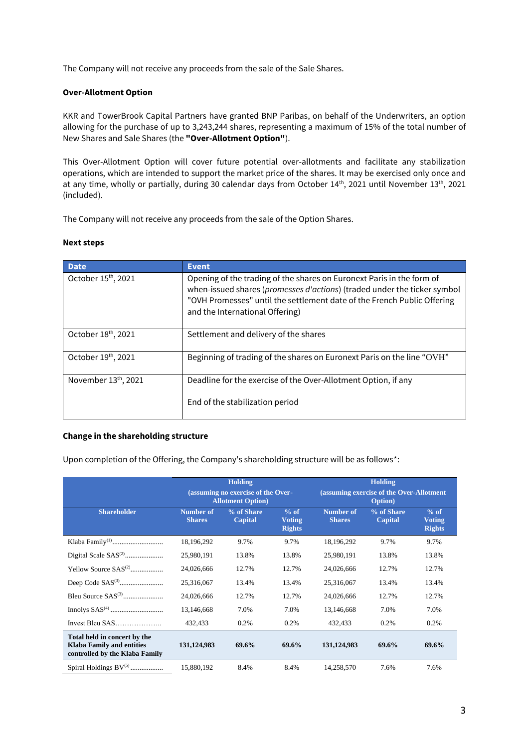The Company will not receive any proceeds from the sale of the Sale Shares.

#### **Over-Allotment Option**

KKR and TowerBrook Capital Partners have granted BNP Paribas, on behalf of the Underwriters, an option allowing for the purchase of up to 3,243,244 shares, representing a maximum of 15% of the total number of New Shares and Sale Shares (the **"Over-Allotment Option"**).

This Over-Allotment Option will cover future potential over-allotments and facilitate any stabilization operations, which are intended to support the market price of the shares. It may be exercised only once and at any time, wholly or partially, during 30 calendar days from October 14<sup>th</sup>, 2021 until November 13<sup>th</sup>, 2021 (included).

The Company will not receive any proceeds from the sale of the Option Shares.

#### **Next steps**

| <b>Date</b>                     | <b>Event</b>                                                                                                                                                                                                                                                    |
|---------------------------------|-----------------------------------------------------------------------------------------------------------------------------------------------------------------------------------------------------------------------------------------------------------------|
| October 15 <sup>th</sup> , 2021 | Opening of the trading of the shares on Euronext Paris in the form of<br>when-issued shares (promesses d'actions) (traded under the ticker symbol<br>"OVH Promesses" until the settlement date of the French Public Offering<br>and the International Offering) |
| October 18th, 2021              | Settlement and delivery of the shares                                                                                                                                                                                                                           |
| October 19th, 2021              | Beginning of trading of the shares on Euronext Paris on the line "OVH"                                                                                                                                                                                          |
| November 13th, 2021             | Deadline for the exercise of the Over-Allotment Option, if any                                                                                                                                                                                                  |
|                                 | End of the stabilization period                                                                                                                                                                                                                                 |

#### **Change in the shareholding structure**

Upon completion of the Offering, the Company's shareholding structure will be as follows\*:

|                                                                                                    |                                                                 | <b>Holding</b>               |                                          | <b>Holding</b>                                              |                              |                                          |  |
|----------------------------------------------------------------------------------------------------|-----------------------------------------------------------------|------------------------------|------------------------------------------|-------------------------------------------------------------|------------------------------|------------------------------------------|--|
|                                                                                                    | (assuming no exercise of the Over-<br><b>Allotment Option</b> ) |                              |                                          | (assuming exercise of the Over-Allotment<br><b>Option</b> ) |                              |                                          |  |
| <b>Shareholder</b>                                                                                 | Number of<br><b>Shares</b>                                      | % of Share<br><b>Capital</b> | $%$ of<br><b>Voting</b><br><b>Rights</b> | Number of<br><b>Shares</b>                                  | % of Share<br><b>Capital</b> | $%$ of<br><b>Voting</b><br><b>Rights</b> |  |
|                                                                                                    | 18,196,292                                                      | 9.7%                         | 9.7%                                     | 18,196,292                                                  | 9.7%                         | 9.7%                                     |  |
|                                                                                                    | 25,980,191                                                      | 13.8%                        | 13.8%                                    | 25,980,191                                                  | 13.8%                        | 13.8%                                    |  |
| Yellow Source $SAS^{(2)}$                                                                          | 24,026,666                                                      | 12.7%                        | 12.7%                                    | 24,026,666                                                  | 12.7%                        | 12.7%                                    |  |
|                                                                                                    | 25,316,067                                                      | 13.4%                        | 13.4%                                    | 25,316,067                                                  | 13.4%                        | 13.4%                                    |  |
|                                                                                                    | 24,026,666                                                      | 12.7%                        | 12.7%                                    | 24,026,666                                                  | 12.7%                        | 12.7%                                    |  |
|                                                                                                    | 13,146,668                                                      | 7.0%                         | 7.0%                                     | 13,146,668                                                  | 7.0%                         | 7.0%                                     |  |
| Invest Bleu SAS                                                                                    | 432,433                                                         | 0.2%                         | 0.2%                                     | 432,433                                                     | 0.2%                         | 0.2%                                     |  |
| Total held in concert by the<br><b>Klaba Family and entities</b><br>controlled by the Klaba Family | 131, 124, 983                                                   | 69.6%                        | 69.6%                                    | 131, 124, 983                                               | 69.6%                        | 69.6%                                    |  |
| Spiral Holdings $BV^{(5)}$                                                                         | 15,880,192                                                      | 8.4%                         | 8.4%                                     | 14.258.570                                                  | 7.6%                         | 7.6%                                     |  |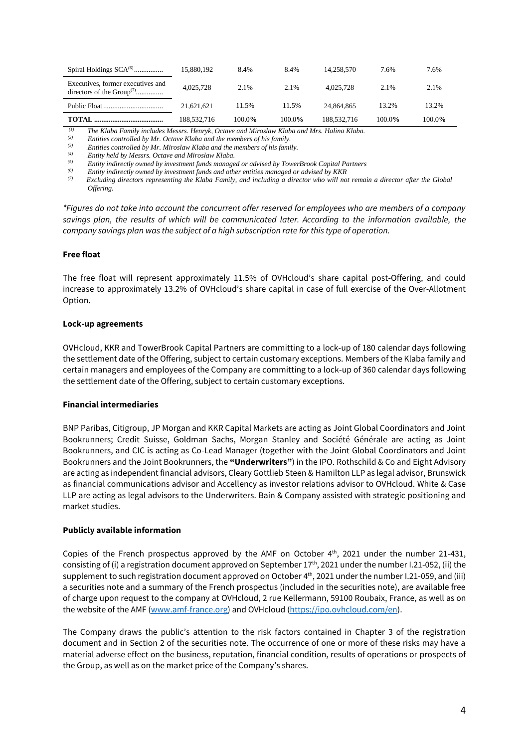| Spiral Holdings $SCA^{(6)}$                                         | 15,880,192  | 8.4%   | 8.4%   | 14.258.570  | 7.6%   | 7.6%      |
|---------------------------------------------------------------------|-------------|--------|--------|-------------|--------|-----------|
| Executives, former executives and<br>directors of the $Group^{(7)}$ | 4.025.728   | 2.1%   | 2.1%   | 4.025.728   | 2.1%   | 2.1%      |
|                                                                     | 21.621.621  | 11.5%  | 11.5%  | 24,864,865  | 13.2%  | 13.2%     |
| TOTAL.                                                              | 188,532,716 | 100.0% | 100.0% | 188,532,716 | 100.0% | $100.0\%$ |

*(1) The Klaba Family includes Messrs. Henryk, Octave and Miroslaw Klaba and Mrs. Halina Klaba.*

*(2) Entities controlled by Mr. Octave Klaba and the members of his family.*

*(3) Entities controlled by Mr. Miroslaw Klaba and the members of his family.*

*(4) Entity held by Messrs. Octave and Miroslaw Klaba.*

*(5) Entity indirectly owned by investment funds managed or advised by TowerBrook Capital Partners*

*(6) Entity indirectly owned by investment funds and other entities managed or advised by KKR*

*(7) Excluding directors representing the Klaba Family, and including a director who will not remain a director after the Global Offering.*

*\*Figures do not take into account the concurrent offer reserved for employees who are members of a company savings plan, the results of which will be communicated later. According to the information available, the company savings plan was the subject of a high subscription rate for this type of operation.*

#### **Free float**

The free float will represent approximately 11.5% of OVHcloud's share capital post-Offering, and could increase to approximately 13.2% of OVHcloud's share capital in case of full exercise of the Over-Allotment Option.

#### **Lock-up agreements**

OVHcloud, KKR and TowerBrook Capital Partners are committing to a lock-up of 180 calendar days following the settlement date of the Offering, subject to certain customary exceptions. Members of the Klaba family and certain managers and employees of the Company are committing to a lock-up of 360 calendar days following the settlement date of the Offering, subject to certain customary exceptions.

#### **Financial intermediaries**

BNP Paribas, Citigroup, JP Morgan and KKR Capital Markets are acting as Joint Global Coordinators and Joint Bookrunners; Credit Suisse, Goldman Sachs, Morgan Stanley and Société Générale are acting as Joint Bookrunners, and CIC is acting as Co-Lead Manager (together with the Joint Global Coordinators and Joint Bookrunners and the Joint Bookrunners, the **"Underwriters"**) in the IPO. Rothschild & Co and Eight Advisory are acting as independent financial advisors, Cleary Gottlieb Steen & Hamilton LLP as legal advisor, Brunswick as financial communications advisor and Accellency as investor relations advisor to OVHcloud. White & Case LLP are acting as legal advisors to the Underwriters. Bain & Company assisted with strategic positioning and market studies.

#### **Publicly available information**

Copies of the French prospectus approved by the AMF on October  $4<sup>th</sup>$ , 2021 under the number 21-431, consisting of (i) a registration document approved on September 17<sup>th</sup>, 2021 under the number I.21-052, (ii) the supplement to such registration document approved on October 4 th , 2021 under the number I.21-059, and (iii) a securities note and a summary of the French prospectus (included in the securities note), are available free of charge upon request to the company at OVHcloud, 2 rue Kellermann, 59100 Roubaix, France, as well as on the website of the AMF [\(www.amf-france.org\)](http://www.amf-france.org/) and OVHcloud [\(https://ipo.ovhcloud.com/en\)](https://ipo.ovhcloud.com/en).

The Company draws the public's attention to the risk factors contained in Chapter 3 of the registration document and in Section 2 of the securities note. The occurrence of one or more of these risks may have a material adverse effect on the business, reputation, financial condition, results of operations or prospects of the Group, as well as on the market price of the Company's shares.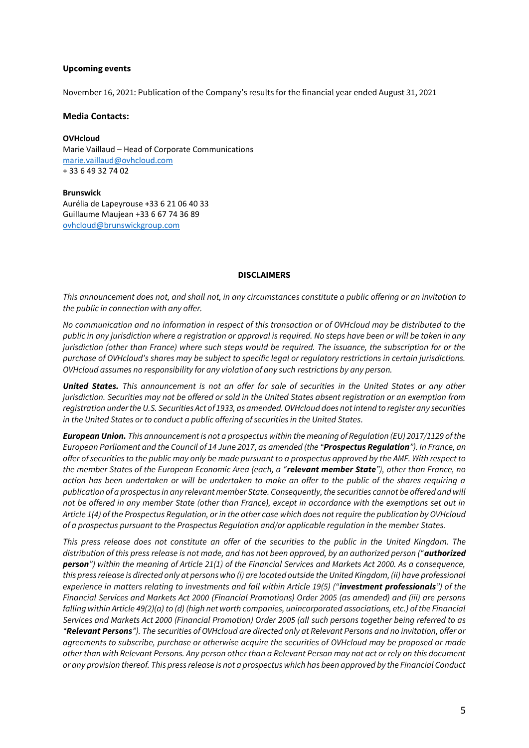#### **Upcoming events**

November 16, 2021: Publication of the Company's results for the financial year ended August 31, 2021

**Media Contacts:**

**OVHcloud** Marie Vaillaud – Head of Corporate Communications [marie.vaillaud@ovhcloud.com](mailto:marie.vaillaud@ovhcloud.com)  + 33 6 49 32 74 02

**Brunswick** Aurélia de Lapeyrouse +33 6 21 06 40 33 Guillaume Maujean +33 6 67 74 36 89 [ovhcloud@brunswickgroup.com](mailto:ovhcloud@brunswickgroup.com)

#### **DISCLAIMERS**

*This announcement does not, and shall not, in any circumstances constitute a public offering or an invitation to the public in connection with any offer.*

*No communication and no information in respect of this transaction or of OVHcloud may be distributed to the public in any jurisdiction where a registration or approval is required. No steps have been or will be taken in any jurisdiction (other than France) where such steps would be required. The issuance, the subscription for or the purchase of OVHcloud's shares may be subject to specific legal or regulatory restrictions in certain jurisdictions. OVHcloud assumes no responsibility for any violation of any such restrictions by any person.*

*United States. This announcement is not an offer for sale of securities in the United States or any other jurisdiction. Securities may not be offered or sold in the United States absent registration or an exemption from registration under the U.S. Securities Act of 1933, as amended. OVHcloud does not intend to register any securities in the United States or to conduct a public offering of securities in the United States.*

*European Union. This announcement is not a prospectus within the meaning of Regulation (EU) 2017/1129 of the European Parliament and the Council of 14 June 2017, as amended (the "Prospectus Regulation"). In France, an offer of securities to the public may only be made pursuant to a prospectus approved by the AMF. With respect to the member States of the European Economic Area (each, a "relevant member State"), other than France, no action has been undertaken or will be undertaken to make an offer to the public of the shares requiring a publication of a prospectus in any relevant member State. Consequently, the securities cannot be offered and will not be offered in any member State (other than France), except in accordance with the exemptions set out in Article 1(4) of the Prospectus Regulation, or in the other case which does not require the publication by OVHcloud of a prospectus pursuant to the Prospectus Regulation and/or applicable regulation in the member States.*

*This press release does not constitute an offer of the securities to the public in the United Kingdom. The distribution of this press release is not made, and has not been approved, by an authorized person ("authorized person") within the meaning of Article 21(1) of the Financial Services and Markets Act 2000. As a consequence, this press release is directed only at persons who (i) are located outside the United Kingdom, (ii) have professional experience in matters relating to investments and fall within Article 19(5) ("investment professionals") of the Financial Services and Markets Act 2000 (Financial Promotions) Order 2005 (as amended) and (iii) are persons falling within Article 49(2)(a) to (d) (high net worth companies, unincorporated associations, etc.) of the Financial Services and Markets Act 2000 (Financial Promotion) Order 2005 (all such persons together being referred to as "Relevant Persons"). The securities of OVHcloud are directed only at Relevant Persons and no invitation, offer or agreements to subscribe, purchase or otherwise acquire the securities of OVHcloud may be proposed or made other than with Relevant Persons. Any person other than a Relevant Person may not act or rely on this document or any provision thereof. This press release is not a prospectus which has been approved by the Financial Conduct*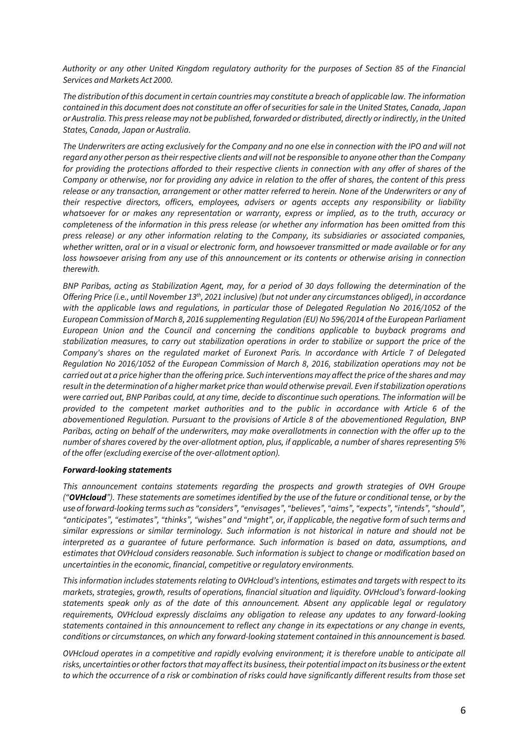*Authority or any other United Kingdom regulatory authority for the purposes of Section 85 of the Financial Services and Markets Act 2000.*

*The distribution of this document in certain countries may constitute a breach of applicable law. The information contained in this document does not constitute an offer of securities for sale in the United States, Canada, Japan or Australia. This press release may not be published, forwarded or distributed, directly or indirectly, in the United States, Canada, Japan or Australia.*

*The Underwriters are acting exclusively for the Company and no one else in connection with the IPO and will not regard any other person as their respective clients and will not be responsible to anyone other than the Company for providing the protections afforded to their respective clients in connection with any offer of shares of the Company or otherwise, nor for providing any advice in relation to the offer of shares, the content of this press release or any transaction, arrangement or other matter referred to herein. None of the Underwriters or any of their respective directors, officers, employees, advisers or agents accepts any responsibility or liability whatsoever for or makes any representation or warranty, express or implied, as to the truth, accuracy or completeness of the information in this press release (or whether any information has been omitted from this press release) or any other information relating to the Company, its subsidiaries or associated companies, whether written, oral or in a visual or electronic form, and howsoever transmitted or made available or for any loss howsoever arising from any use of this announcement or its contents or otherwise arising in connection therewith.*

*BNP Paribas, acting as Stabilization Agent, may, for a period of 30 days following the determination of the Offering Price (i.e., until November 13 th , 2021 inclusive) (but not under any circumstances obliged), in accordance with the applicable laws and regulations, in particular those of Delegated Regulation No 2016/1052 of the European Commission of March 8, 2016 supplementing Regulation (EU) No 596/2014 of the European Parliament European Union and the Council and concerning the conditions applicable to buyback programs and stabilization measures, to carry out stabilization operations in order to stabilize or support the price of the Company's shares on the regulated market of Euronext Paris. In accordance with Article 7 of Delegated Regulation No 2016/1052 of the European Commission of March 8, 2016, stabilization operations may not be carried out at a price higher than the offering price. Such interventions may affect the price of the shares and may result in the determination of a higher market price than would otherwise prevail. Even if stabilization operations were carried out, BNP Paribas could, at any time, decide to discontinue such operations. The information will be provided to the competent market authorities and to the public in accordance with Article 6 of the abovementioned Regulation. Pursuant to the provisions of Article 8 of the abovementioned Regulation, BNP Paribas, acting on behalf of the underwriters, may make overallotments in connection with the offer up to the number of shares covered by the over-allotment option, plus, if applicable, a number of shares representing 5% of the offer (excluding exercise of the over-allotment option).*

#### *Forward-looking statements*

*This announcement contains statements regarding the prospects and growth strategies of OVH Groupe ("OVHcloud"). These statements are sometimes identified by the use of the future or conditional tense, or by the use of forward-looking terms such as "considers", "envisages", "believes", "aims", "expects", "intends", "should", "anticipates", "estimates", "thinks", "wishes" and "might", or, if applicable, the negative form of such terms and similar expressions or similar terminology. Such information is not historical in nature and should not be interpreted as a guarantee of future performance. Such information is based on data, assumptions, and estimates that OVHcloud considers reasonable. Such information is subject to change or modification based on uncertainties in the economic, financial, competitive or regulatory environments.* 

*This information includes statements relating to OVHcloud's intentions, estimates and targets with respect to its markets, strategies, growth, results of operations, financial situation and liquidity. OVHcloud's forward-looking statements speak only as of the date of this announcement. Absent any applicable legal or regulatory requirements, OVHcloud expressly disclaims any obligation to release any updates to any forward-looking statements contained in this announcement to reflect any change in its expectations or any change in events, conditions or circumstances, on which any forward-looking statement contained in this announcement is based.* 

*OVHcloud operates in a competitive and rapidly evolving environment; it is therefore unable to anticipate all risks, uncertainties or other factors that may affect its business, their potential impact on its business or the extent to which the occurrence of a risk or combination of risks could have significantly different results from those set*